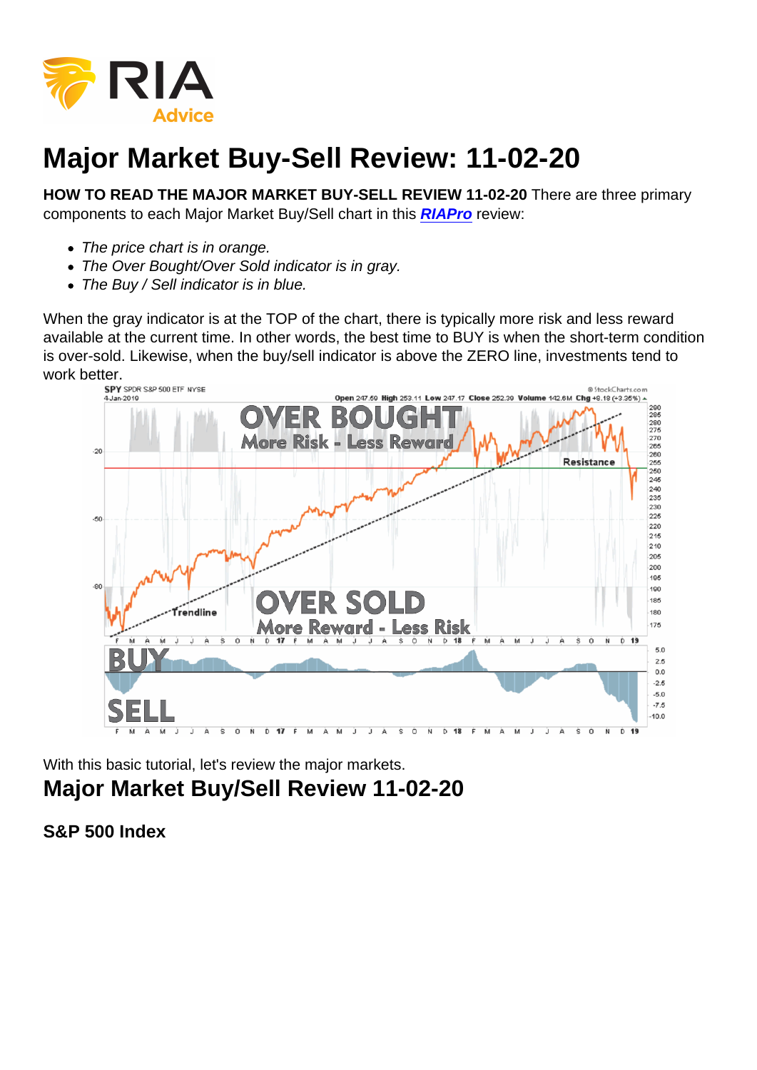## Major Market Buy-Sell Review: 11-02-20

HOW TO READ THE MAJOR MARKET BUY-SELL REVIEW 11-02-20 There are three primary components to each Major Market Buy/Sell chart in this [RIAPro](https://riapro.net/home) review:

- The price chart is in orange.
- The Over Bought/Over Sold indicator is in gray.
- The Buy / Sell indicator is in blue.

When the gray indicator is at the TOP of the chart, there is typically more risk and less reward available at the current time. In other words, the best time to BUY is when the short-term condition is over-sold. Likewise, when the buy/sell indicator is above the ZERO line, investments tend to work better.

With this basic tutorial, let's review the major markets. Major Market Buy/Sell Review 11-02-20

S&P 500 Index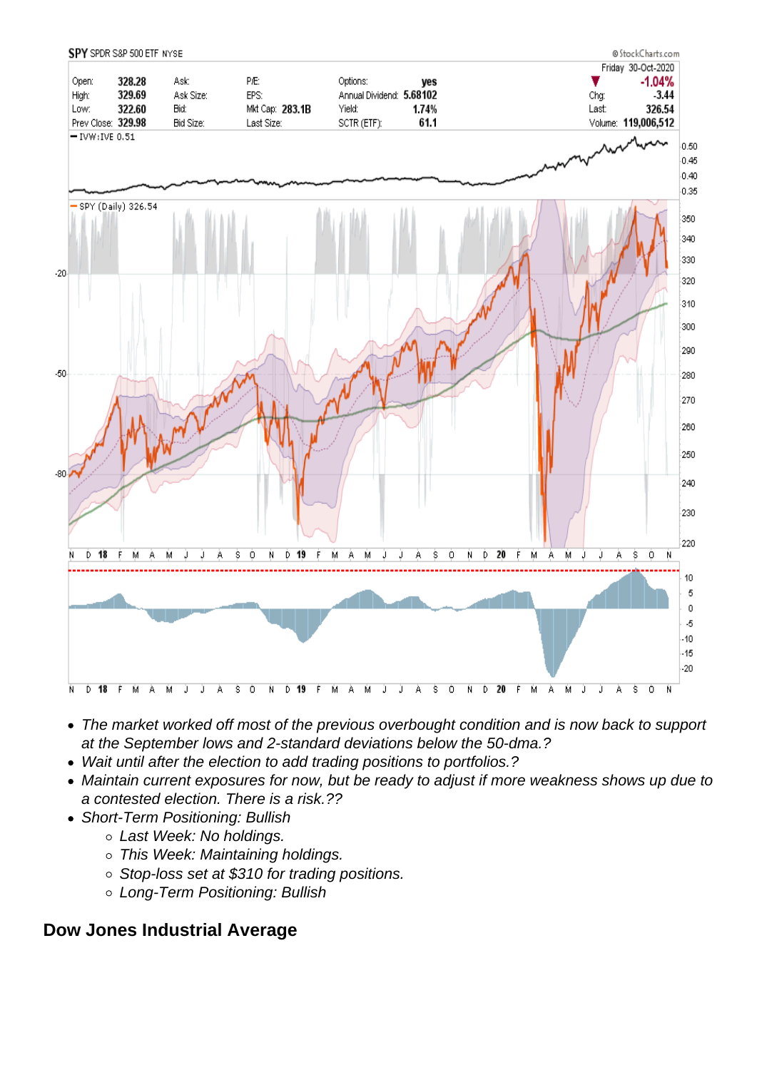- The market worked off most of the previous overbought condition and is now back to support at the September lows and 2-standard deviations below the 50-dma.?
- Wait until after the election to add trading positions to portfolios.?
- Maintain current exposures for now, but be ready to adjust if more weakness shows up due to a contested election. There is a risk.??
- Short-Term Positioning: Bullish
	- o Last Week: No holdings.
	- o This Week: Maintaining holdings.
	- Stop-loss set at \$310 for trading positions.
	- Long-Term Positioning: Bullish

Dow Jones Industrial Average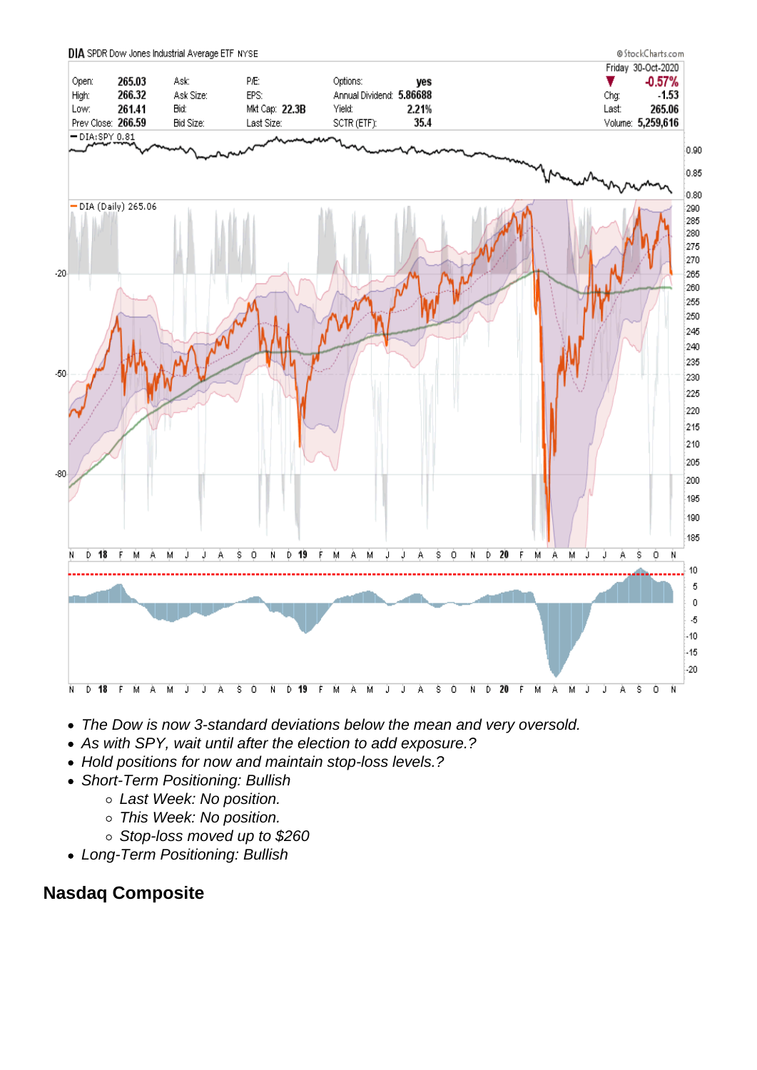- The Dow is now 3-standard deviations below the mean and very oversold.
- As with SPY, wait until after the election to add exposure.?
- Hold positions for now and maintain stop-loss levels.?
- Short-Term Positioning: Bullish
	- o Last Week: No position.
	- o This Week: No position.
	- Stop-loss moved up to \$260
- Long-Term Positioning: Bullish

Nasdaq Composite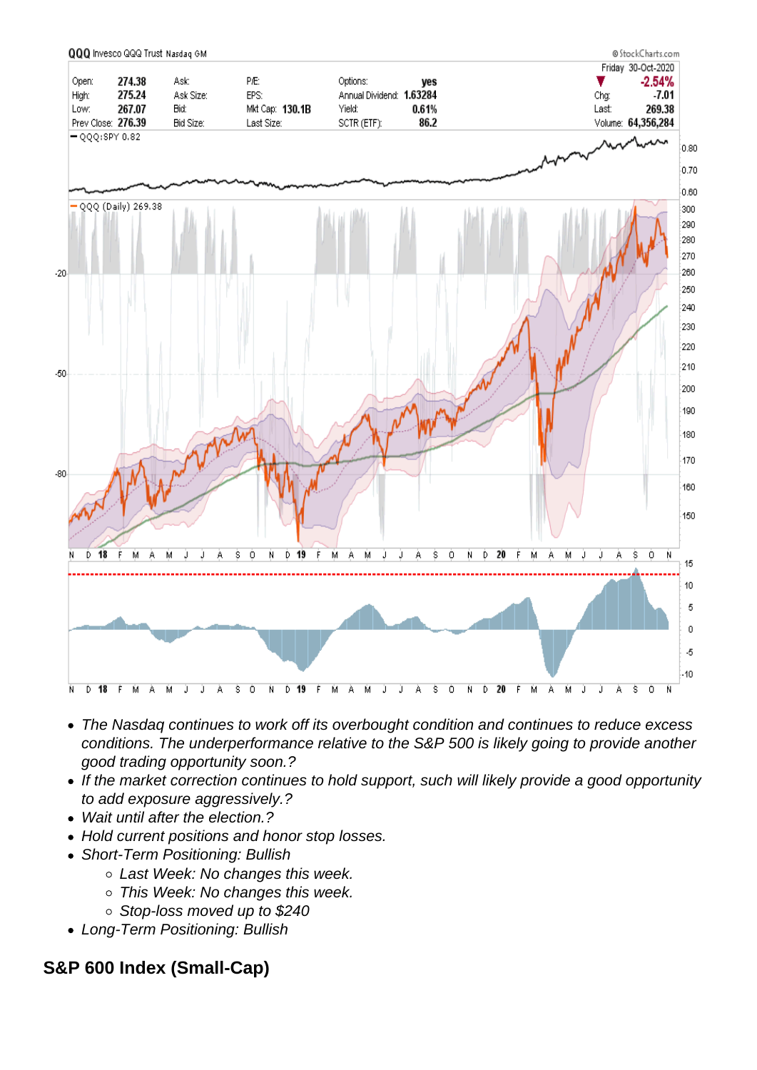- The Nasdaq continues to work off its overbought condition and continues to reduce excess conditions. The underperformance relative to the S&P 500 is likely going to provide another good trading opportunity soon.?
- If the market correction continues to hold support, such will likely provide a good opportunity to add exposure aggressively.?
- Wait until after the election.?
- Hold current positions and honor stop losses.
- Short-Term Positioning: Bullish
	- o Last Week: No changes this week.
	- o This Week: No changes this week.
	- Stop-loss moved up to \$240
- Long-Term Positioning: Bullish

S&P 600 Index (Small-Cap)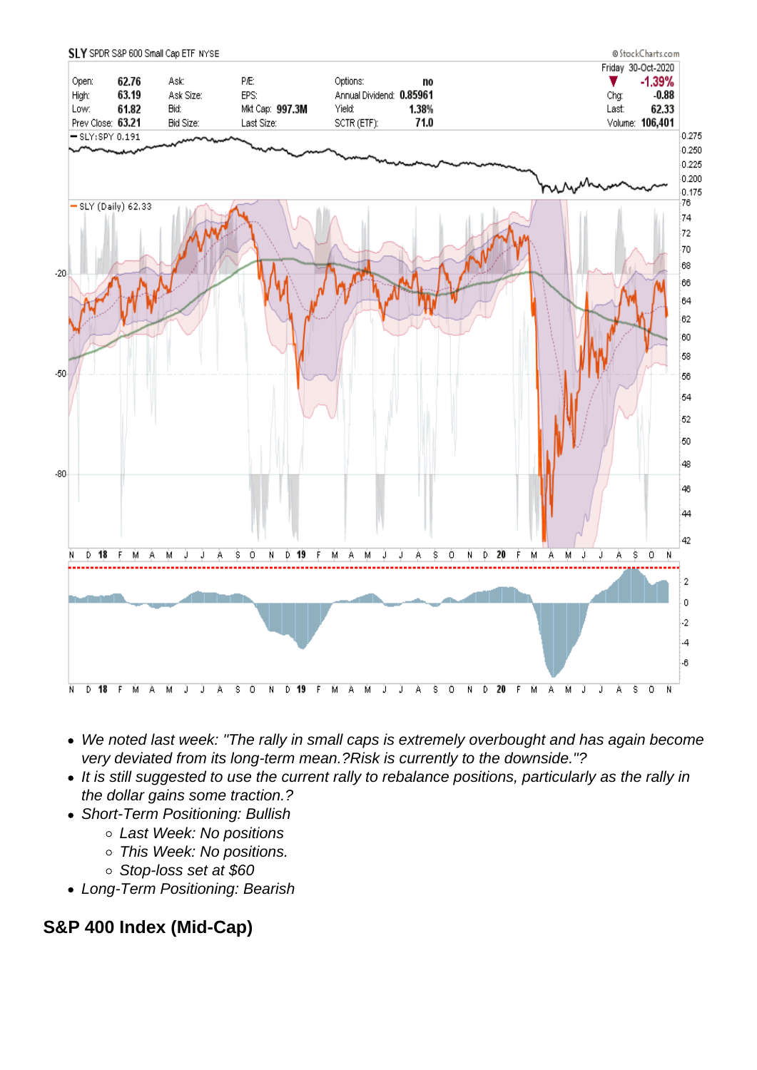- We noted last week: "The rally in small caps is extremely overbought and has again become very deviated from its long-term mean.?Risk is currently to the downside."?
- It is still suggested to use the current rally to rebalance positions, particularly as the rally in the dollar gains some traction.?
- Short-Term Positioning: Bullish
	- Last Week: No positions
	- o This Week: No positions.
	- Stop-loss set at \$60
- Long-Term Positioning: Bearish

S&P 400 Index (Mid-Cap)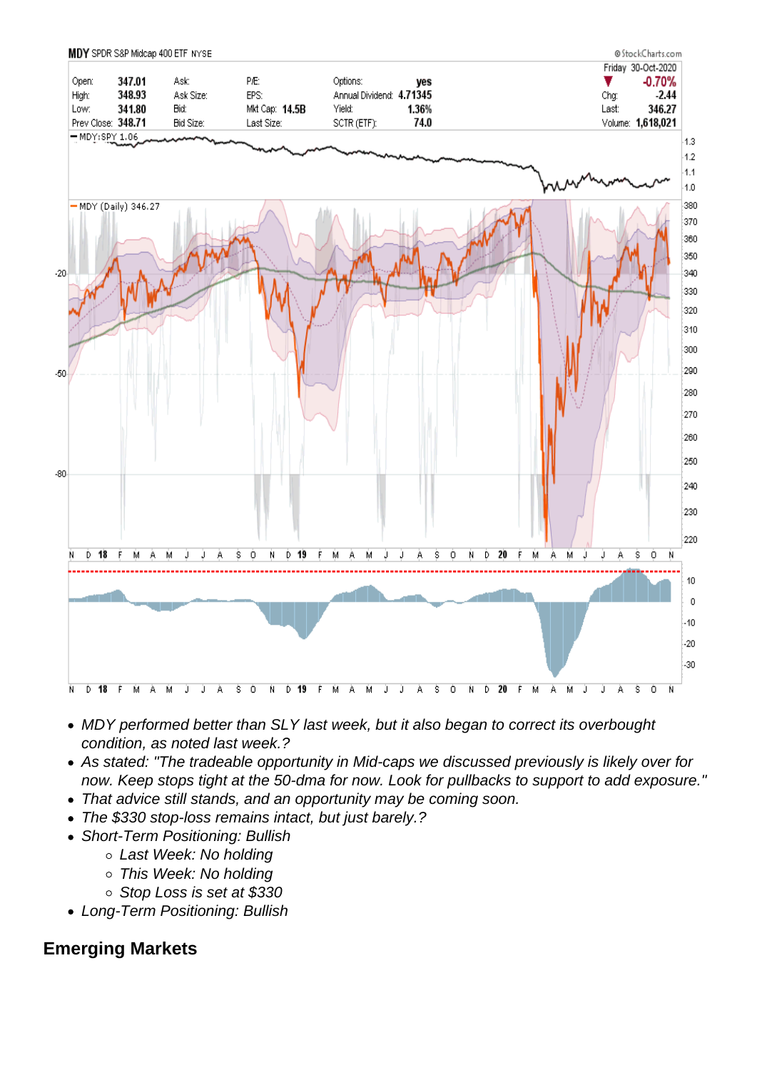- MDY performed better than SLY last week, but it also began to correct its overbought condition, as noted last week.?
- As stated: "The tradeable opportunity in Mid-caps we discussed previously is likely over for now. Keep stops tight at the 50-dma for now. Look for pullbacks to support to add exposure."
- That advice still stands, and an opportunity may be coming soon.
- The \$330 stop-loss remains intact, but just barely.?
- Short-Term Positioning: Bullish
	- Last Week: No holding
	- This Week: No holding
	- o Stop Loss is set at \$330
- Long-Term Positioning: Bullish

## Emerging Markets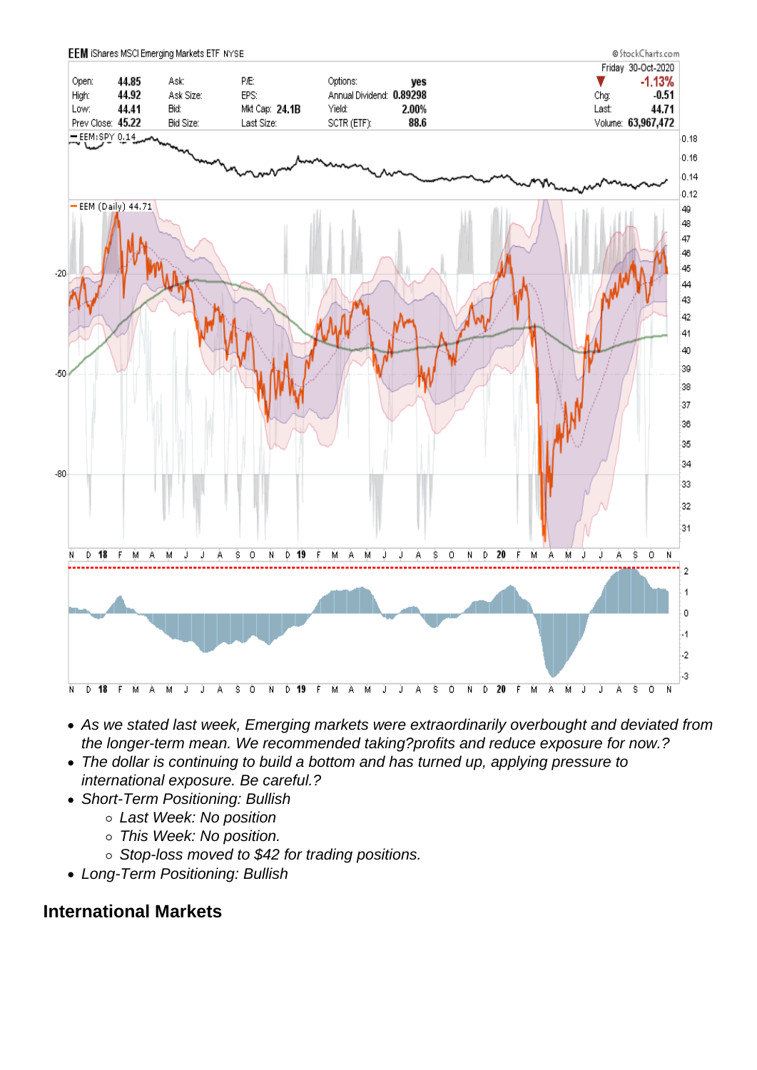- As we stated last week, Emerging markets were extraordinarily overbought and deviated from the longer-term mean. We recommended taking?profits and reduce exposure for now.?
- The dollar is continuing to build a bottom and has turned up, applying pressure to international exposure. Be careful.?
- Short-Term Positioning: Bullish
	- Last Week: No position
	- o This Week: No position.
	- Stop-loss moved to \$42 for trading positions.
- Long-Term Positioning: Bullish

## International Markets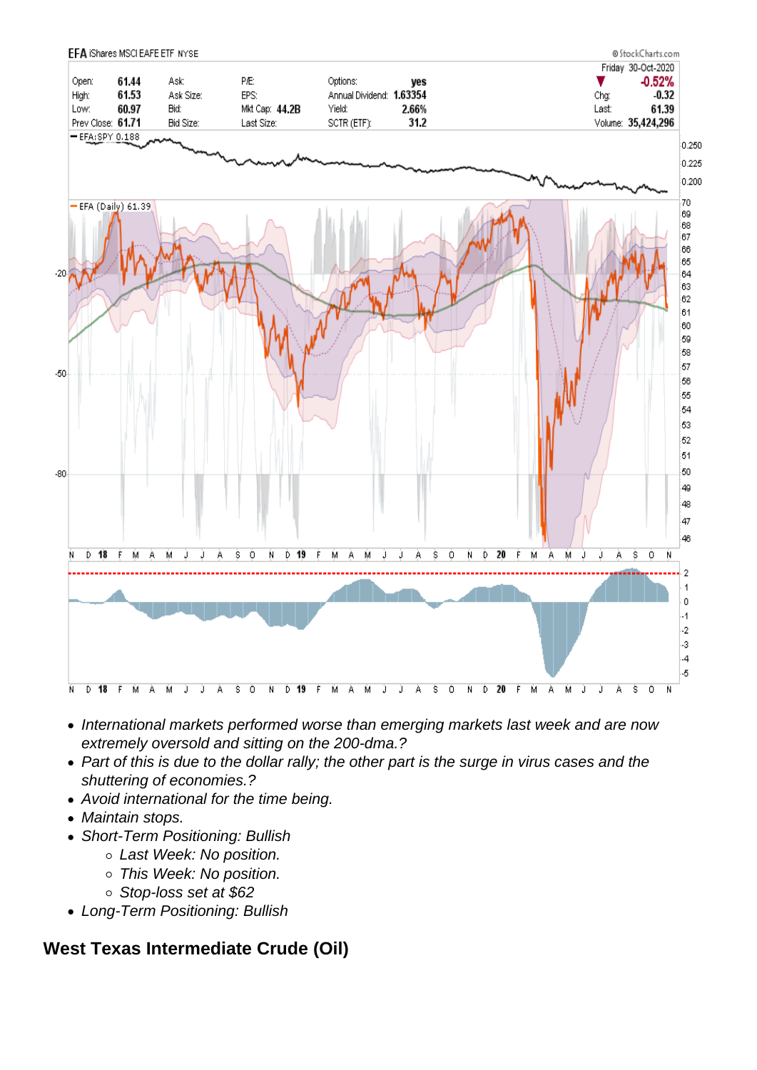- International markets performed worse than emerging markets last week and are now extremely oversold and sitting on the 200-dma.?
- Part of this is due to the dollar rally; the other part is the surge in virus cases and the shuttering of economies.?
- Avoid international for the time being.
- Maintain stops.
- Short-Term Positioning: Bullish
	- Last Week: No position.
	- o This Week: No position.
	- Stop-loss set at \$62
- Long-Term Positioning: Bullish

West Texas Intermediate Crude (Oil)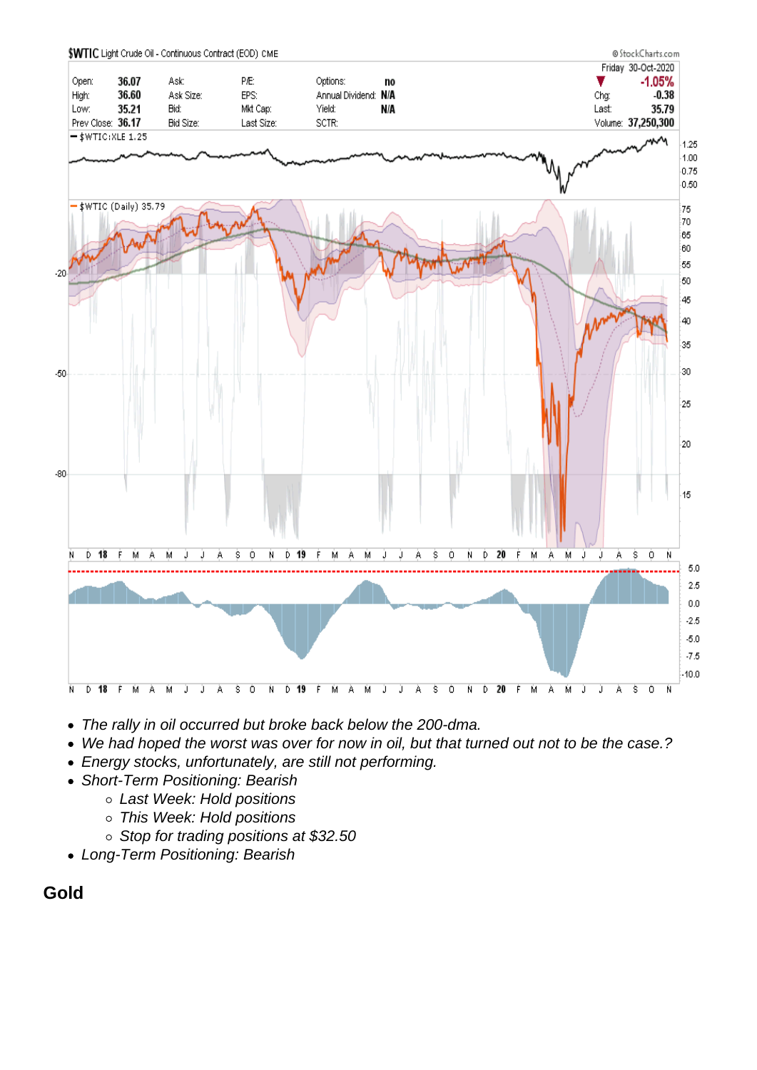- The rally in oil occurred but broke back below the 200-dma.
- We had hoped the worst was over for now in oil, but that turned out not to be the case.?
- Energy stocks, unfortunately, are still not performing.
- Short-Term Positioning: Bearish
	- o Last Week: Hold positions
	- This Week: Hold positions
	- o Stop for trading positions at \$32.50
- Long-Term Positioning: Bearish

Gold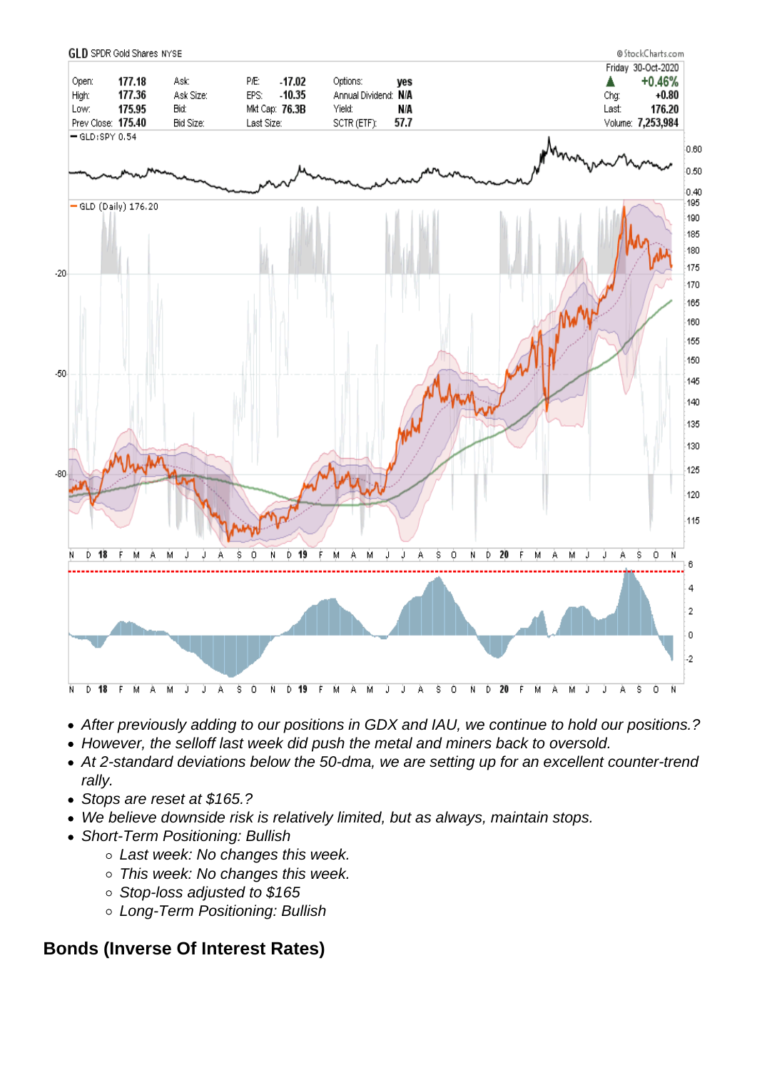- After previously adding to our positions in GDX and IAU, we continue to hold our positions.?
- However, the selloff last week did push the metal and miners back to oversold.
- At 2-standard deviations below the 50-dma, we are setting up for an excellent counter-trend rally.
- Stops are reset at \$165.?
- We believe downside risk is relatively limited, but as always, maintain stops.
- Short-Term Positioning: Bullish
	- Last week: No changes this week.
	- This week: No changes this week.
	- Stop-loss adjusted to \$165
	- Long-Term Positioning: Bullish

Bonds (Inverse Of Interest Rates)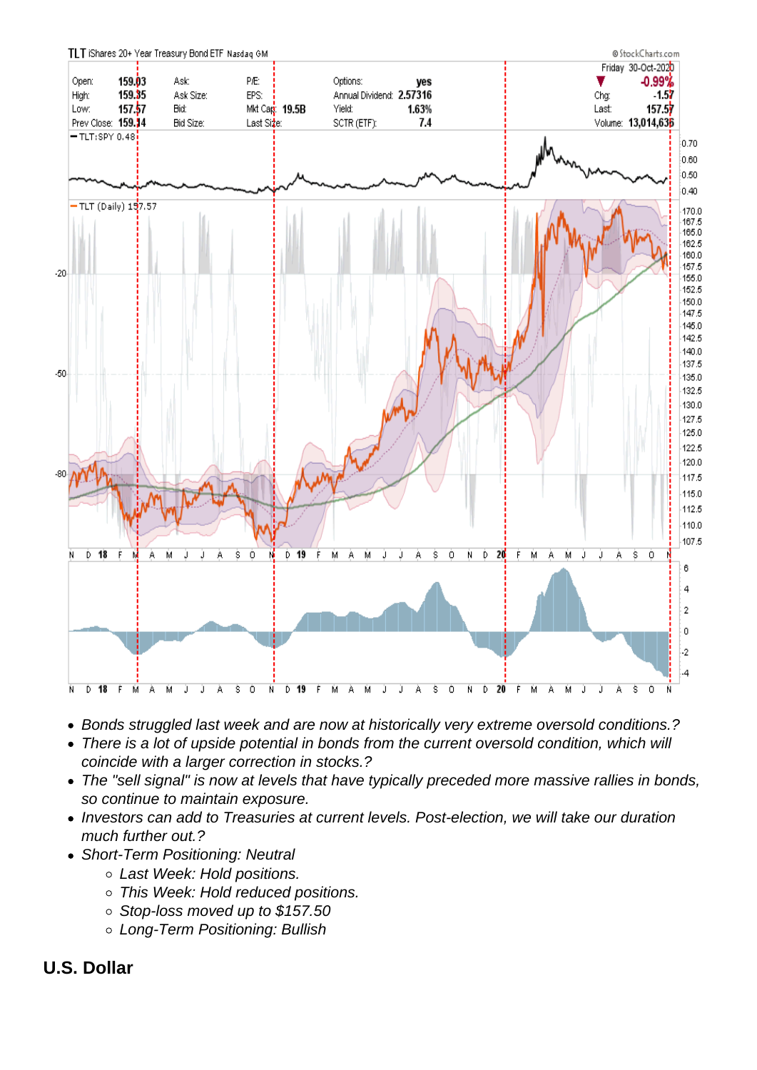- Bonds struggled last week and are now at historically very extreme oversold conditions.?
- There is a lot of upside potential in bonds from the current oversold condition, which will coincide with a larger correction in stocks.?
- The "sell signal" is now at levels that have typically preceded more massive rallies in bonds, so continue to maintain exposure.
- Investors can add to Treasuries at current levels. Post-election, we will take our duration much further out.?
- Short-Term Positioning: Neutral
	- Last Week: Hold positions.
	- This Week: Hold reduced positions.
	- Stop-loss moved up to \$157.50
	- Long-Term Positioning: Bullish
- U.S. Dollar